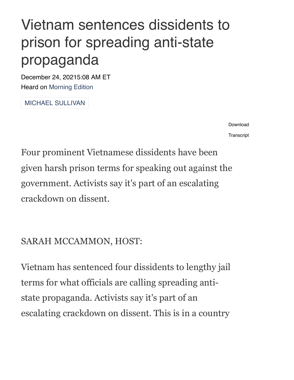## Vietnam sentences dissidents to prison for spreading anti-state propaganda

December 24, 20215:08 AM ET Heard on [Morning](https://www.npr.org/programs/morning-edition/2021/12/24/1067763931/morning-edition-for-december-24-2021) Edition

MICHAEL [SULLIVAN](https://www.npr.org/people/2101265/michael-sullivan)

[Download](https://ondemand.npr.org/anon.npr-mp3/npr/me/2021/12/20211224_me_vietnam_sentences_dissidents_to_prison_for_spreading_anti-state_propaganda.mp3?orgId=1&topicId=1125&d=234&p=3&story=1067775059&dl=1&sc=siteplayer&size=3752064&dl=1&aw_0_1st.playerid=siteplayer) **[Transcript](https://www.npr.org/transcripts/1067775059)** 

Four prominent Vietnamese dissidents have been given harsh prison terms for speaking out against the government. Activists say it's part of an escalating crackdown on dissent.

## SARAH MCCAMMON, HOST:

Vietnam has sentenced four dissidents to lengthy jail terms for what officials are calling spreading antistate propaganda. Activists say it's part of an escalating crackdown on dissent. This is in a country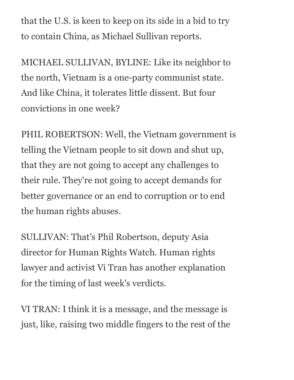that the U.S. is keen to keep on its side in a bid to try to contain China, as Michael Sullivan reports.

MICHAEL SULLIVAN, BYLINE: Like its neighbor to the north, Vietnam is a one-party communist state. And like China, it tolerates little dissent. But four convictions in one week?

PHIL ROBERTSON: Well, the Vietnam government is telling the Vietnam people to sit down and shut up, that they are not going to accept any challenges to their rule. They're not going to accept demands for better governance or an end to corruption or to end the human rights abuses.

SULLIVAN: That's Phil Robertson, deputy Asia director for Human Rights Watch. Human rights lawyer and activist Vi Tran has another explanation for the timing of last week's verdicts.

VI TRAN: I think it is a message, and the message is just, like, raising two middle fingers to the rest of the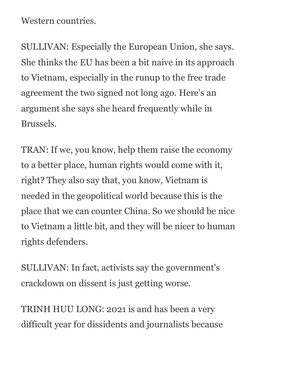Western countries.

SULLIVAN: Especially the European Union, she says. She thinks the EU has been a bit naive in its approach to Vietnam, especially in the runup to the free trade agreement the two signed not long ago. Here's an argument she says she heard frequently while in Brussels.

TRAN: If we, you know, help them raise the economy to a better place, human rights would come with it, right? They also say that, you know, Vietnam is needed in the geopolitical world because this is the place that we can counter China. So we should be nice to Vietnam a little bit, and they will be nicer to human rights defenders.

SULLIVAN: In fact, activists say the government's crackdown on dissent is just getting worse.

TRINH HUU LONG: 2021 is and has been a very difficult year for dissidents and journalists because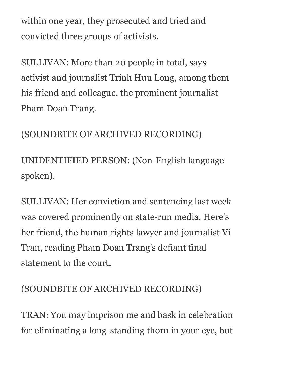within one year, they prosecuted and tried and convicted three groups of activists.

SULLIVAN: More than 20 people in total, says activist and journalist Trinh Huu Long, among them his friend and colleague, the prominent journalist Pham Doan Trang.

(SOUNDBITE OF ARCHIVED RECORDING)

UNIDENTIFIED PERSON: (Non-English language spoken).

SULLIVAN: Her conviction and sentencing last week was covered prominently on state-run media. Here's her friend, the human rights lawyer and journalist Vi Tran, reading Pham Doan Trang's defiant final statement to the court.

## (SOUNDBITE OF ARCHIVED RECORDING)

TRAN: You may imprison me and bask in celebration for eliminating a long-standing thorn in your eye, but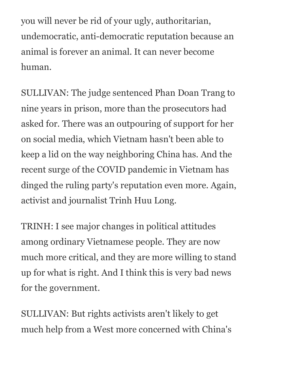you will never be rid of your ugly, authoritarian, undemocratic, anti-democratic reputation because an animal is forever an animal. It can never become human.

SULLIVAN: The judge sentenced Phan Doan Trang to nine years in prison, more than the prosecutors had asked for. There was an outpouring of support for her on social media, which Vietnam hasn't been able to keep a lid on the way neighboring China has. And the recent surge of the COVID pandemic in Vietnam has dinged the ruling party's reputation even more. Again, activist and journalist Trinh Huu Long.

TRINH: I see major changes in political attitudes among ordinary Vietnamese people. They are now much more critical, and they are more willing to stand up for what is right. And I think this is very bad news for the government.

SULLIVAN: But rights activists aren't likely to get much help from a West more concerned with China's